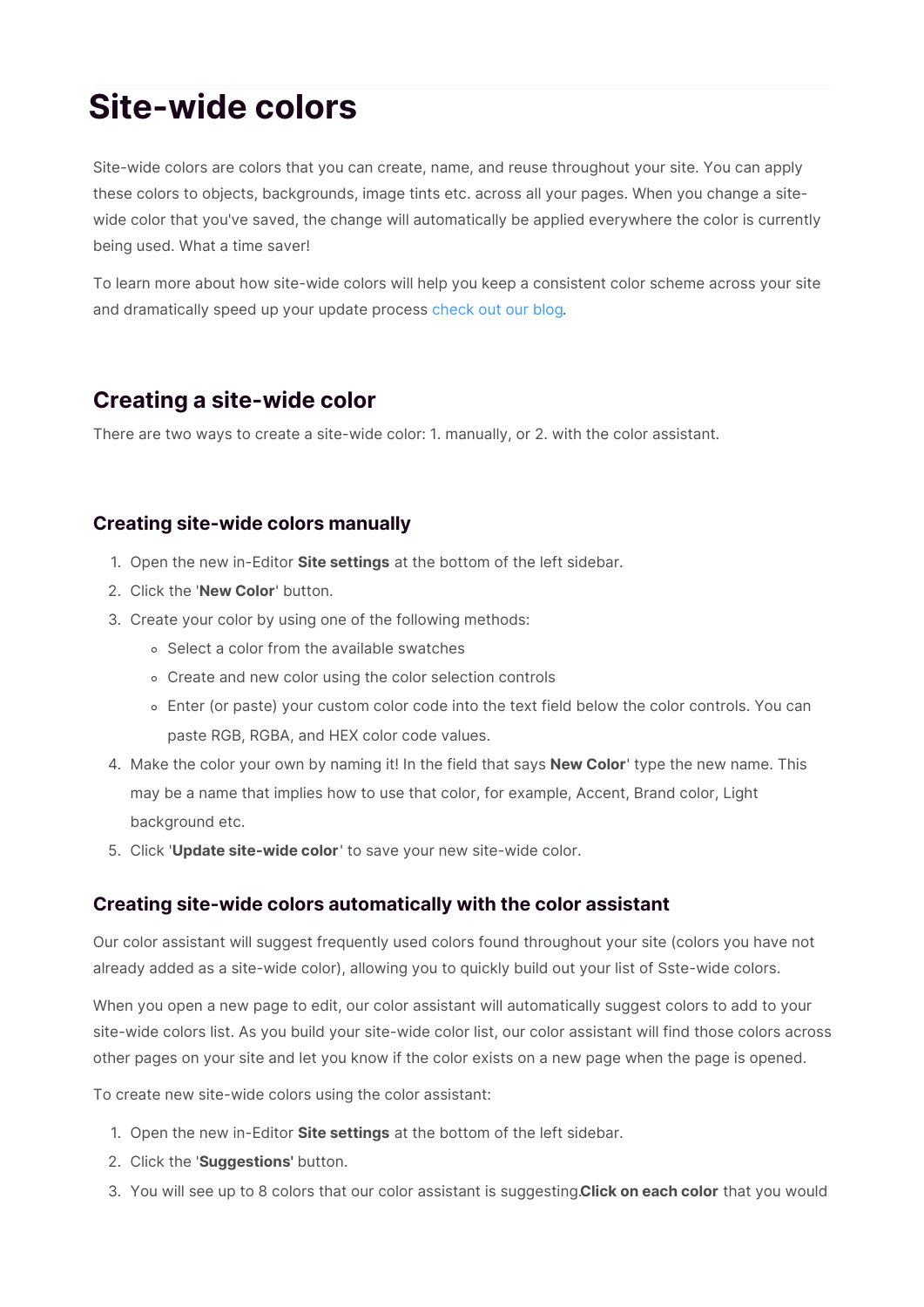# **Site-wide colors**

Site-wide colors are colors that you can create, name, and reuse throughout your site. You can apply these colors to objects, backgrounds, image tints etc. across all your pages. When you change a sitewide color that you've saved, the change will automatically be applied everywhere the color is currently being used. What a time saver!

To learn more about how site-wide colors will help you keep a consistent color scheme across your site and dramatically speed up your update process check out our blog.

# **Creating a site-wide color**

There are two ways to create a site-wide color: 1. manually, or 2. with the color assistant.

## **Creating site-wide colors manually**

- 1. Open the new in-Editor **Site settings** at the bottom of the left sidebar.
- 2. Click the '**New Color**' button.
- 3. Create your color by using one of the following methods:
	- o Select a color from the available swatches
	- Create and new color using the color selection controls
	- Enter (or paste) your custom color code into the text field below the color controls. You can paste RGB, RGBA, and HEX color code values.
- 4. Make the color your own by naming it! In the field that says '**New Color**' type the new name. This may be a name that implies how to use that color, for example, Accent, Brand color, Light background etc.
- 5. Click '**Update site-wide color**' to save your new site-wide color.

## **Creating site-wide colors automatically with the color assistant**

Our color assistant will suggest frequently used colors found throughout your site (colors you have not already added as a site-wide color), allowing you to quickly build out your list of Sste-wide colors.

When you open a new page to edit, our color assistant will automatically suggest colors to add to your site-wide colors list. As you build your site-wide color list, our color assistant will find those colors across other pages on your site and let you know if the color exists on a new page when the page is opened.

To create new site-wide colors using the color assistant:

- 1. Open the new in-Editor **Site settings** at the bottom of the left sidebar.
- 2. Click the '**Suggestions'** button.
- 3. You will see up to 8 colors that our color assistant is suggesting.**Click on each color** that you would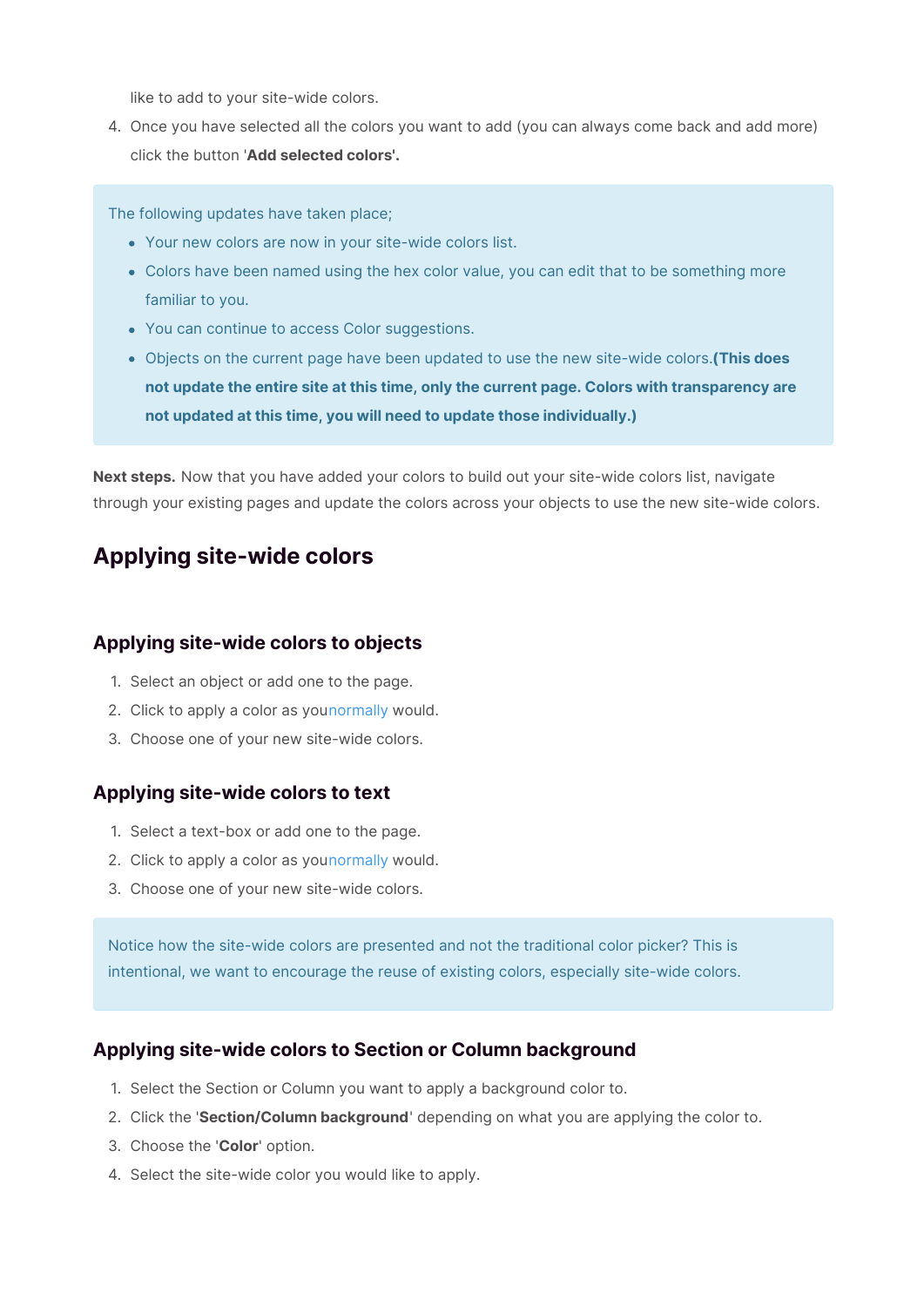like to add to your site-wide colors.

4. Once you have selected all the colors you want to add (you can always come back and add more) click the button '**Add selected colors'.**

The following updates have taken place;

- Your new colors are now in your site-wide colors list.
- Colors have been named using the hex color value, you can edit that to be something more familiar to you.
- You can continue to access Color suggestions.
- Objects on the current page have been updated to use the new site-wide colors.**(This does not update the entire site at this time, only the current page. Colors with transparency are not updated at this time, you will need to update those individually.)**

**Next steps.** Now that you have added your colors to build out your site-wide colors list, navigate through your existing pages and update the colors across your objects to use the new site-wide colors.

# **Applying site-wide colors**

## **Applying site-wide colors to objects**

- 1. Select an object or add one to the page.
- 2. Click to apply a color as younormally would.
- 3. Choose one of your new site-wide colors.

#### **Applying site-wide colors to text**

- 1. Select a text-box or add one to the page.
- 2. Click to apply a color as younormally would.
- 3. Choose one of your new site-wide colors.

Notice how the site-wide colors are presented and not the traditional color picker? This is intentional, we want to encourage the reuse of existing colors, especially site-wide colors.

#### **Applying site-wide colors to Section or Column background**

- 1. Select the Section or Column you want to apply a background color to.
- 2. Click the '**Section/Column background**' depending on what you are applying the color to.
- 3. Choose the '**Color**' option.
- 4. Select the site-wide color you would like to apply.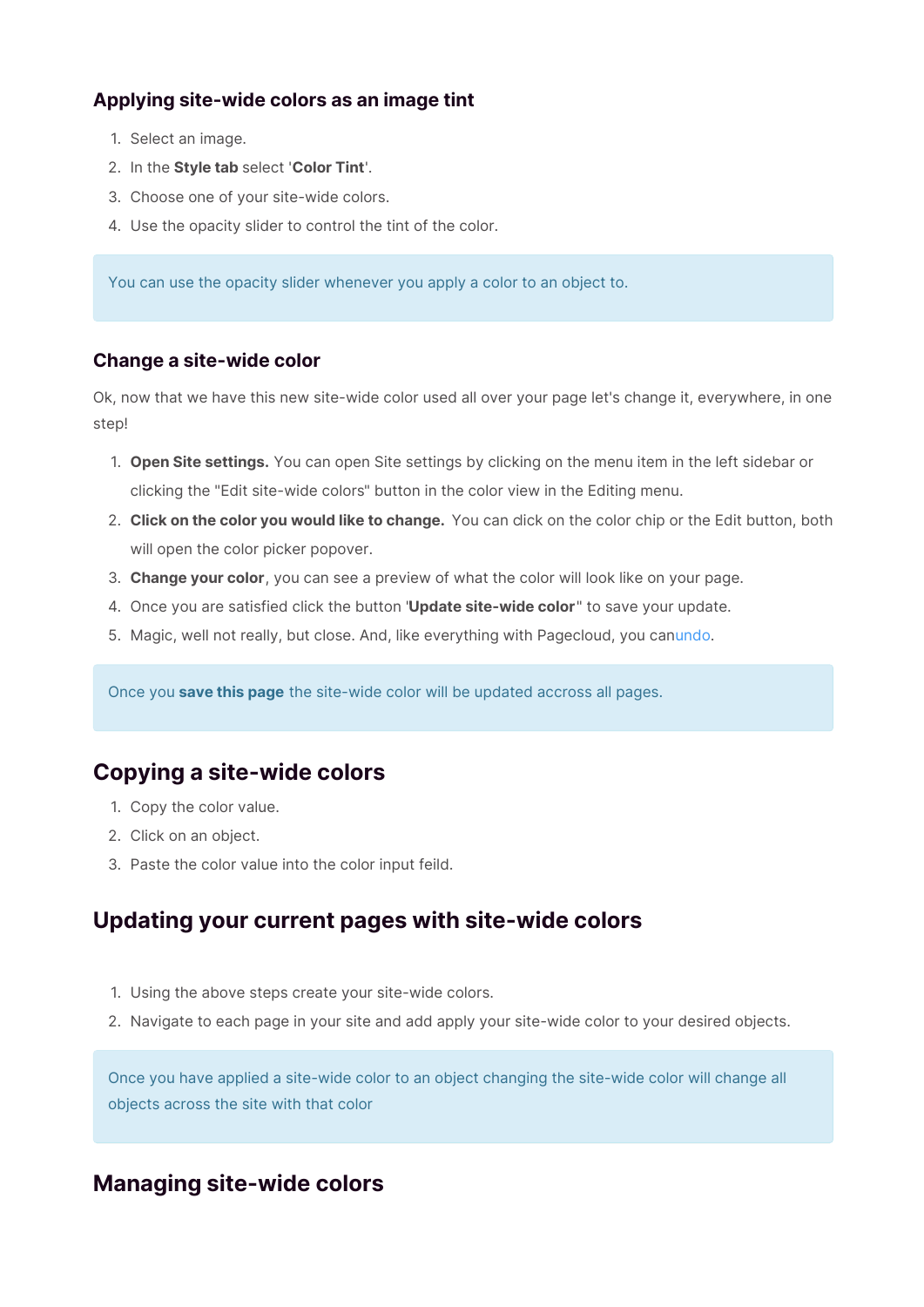## **Applying site-wide colors as an image tint**

- 1. Select an image.
- 2. In the **Style tab** select '**Color Tint**'.
- 3. Choose one of your site-wide colors.
- 4. Use the opacity slider to control the tint of the color.

You can use the opacity slider whenever you apply a color to an object to.

## **Change a site-wide color**

Ok, now that we have this new site-wide color used all over your page let's change it, everywhere, in one step!

- 1. **Open Site settings.** You can open Site settings by clicking on the menu item in the left sidebar or clicking the "Edit site-wide colors" button in the color view in the Editing menu.
- 2. **Click on the color you would like to change.** You can click on the color chip or the Edit button, both will open the color picker popover.
- 3. **Change your color**, you can see a preview of what the color will look like on your page.
- 4. Once you are satisfied click the button "**Update site-wide color**" to save your update.
- 5. Magic, well not really, but close. And, like everything with Pagecloud, you canundo.

Once you **save this page** the site-wide color will be updated accross all pages.

## **Copying a site-wide colors**

- 1. Copy the color value.
- 2. Click on an object.
- 3. Paste the color value into the color input feild.

# **Updating your current pages with site-wide colors**

- 1. Using the above steps create your site-wide colors.
- 2. Navigate to each page in your site and add apply your site-wide color to your desired objects.

Once you have applied a site-wide color to an object changing the site-wide color will change all objects across the site with that color

# **Managing site-wide colors**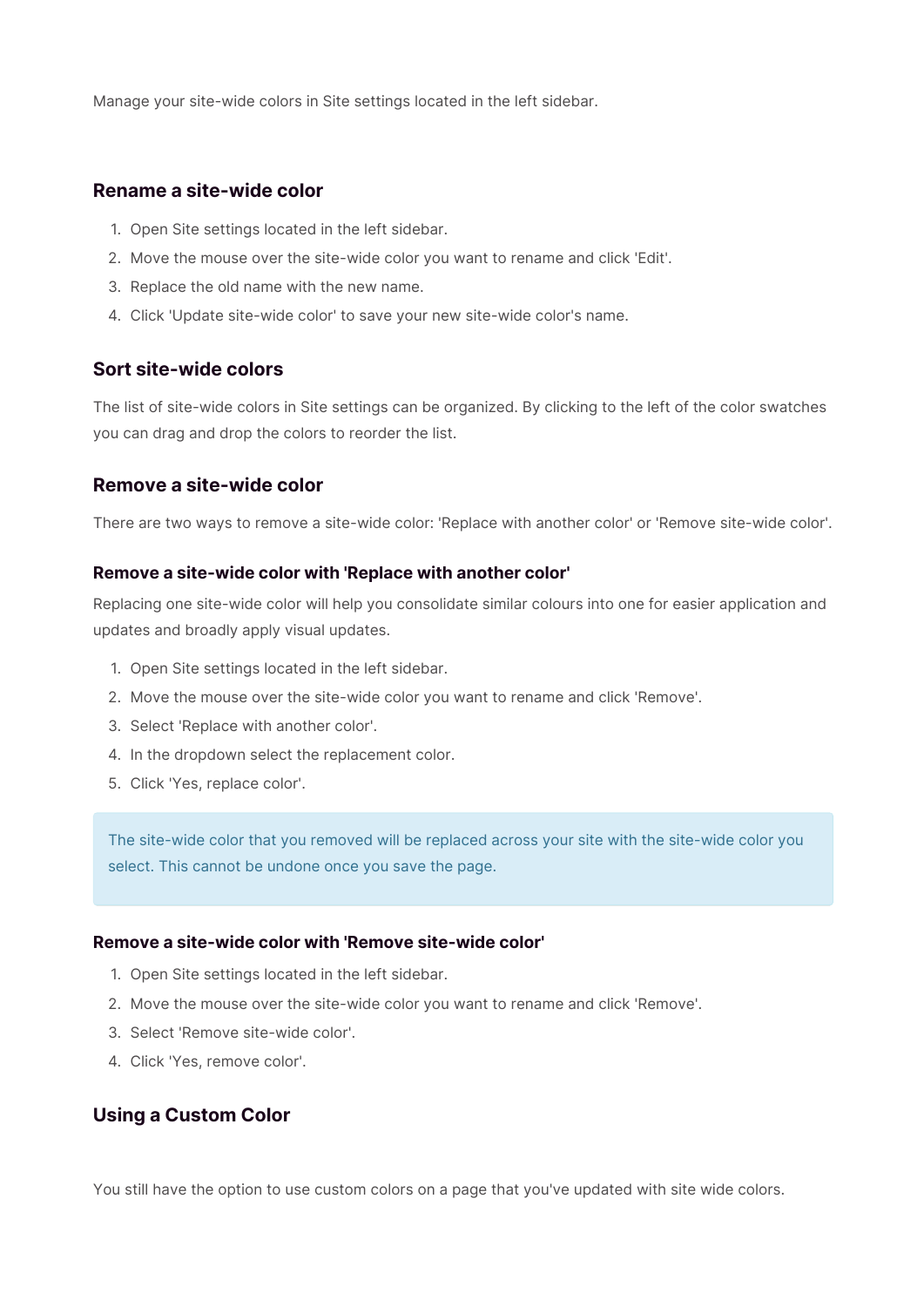Manage your site-wide colors in Site settings located in the left sidebar.

## **Rename a site-wide color**

- 1. Open Site settings located in the left sidebar.
- 2. Move the mouse over the site-wide color you want to rename and click 'Edit'.
- 3. Replace the old name with the new name.
- 4. Click 'Update site-wide color' to save your new site-wide color's name.

## **Sort site-wide colors**

The list of site-wide colors in Site settings can be organized. By clicking to the left of the color swatches you can drag and drop the colors to reorder the list.

## **Remove a site-wide color**

There are two ways to remove a site-wide color: 'Replace with another color' or 'Remove site-wide color'.

#### **Remove a site-wide color with 'Replace with another color'**

Replacing one site-wide color will help you consolidate similar colours into one for easier application and updates and broadly apply visual updates.

- 1. Open Site settings located in the left sidebar.
- 2. Move the mouse over the site-wide color you want to rename and click 'Remove'.
- 3. Select 'Replace with another color'.
- 4. In the dropdown select the replacement color.
- 5. Click 'Yes, replace color'.

The site-wide color that you removed will be replaced across your site with the site-wide color you select. This cannot be undone once you save the page.

#### **Remove a site-wide color with 'Remove site-wide color'**

- 1. Open Site settings located in the left sidebar.
- 2. Move the mouse over the site-wide color you want to rename and click 'Remove'.
- 3. Select 'Remove site-wide color'.
- 4. Click 'Yes, remove color'.

## **Using a Custom Color**

You still have the option to use custom colors on a page that you've updated with site wide colors.